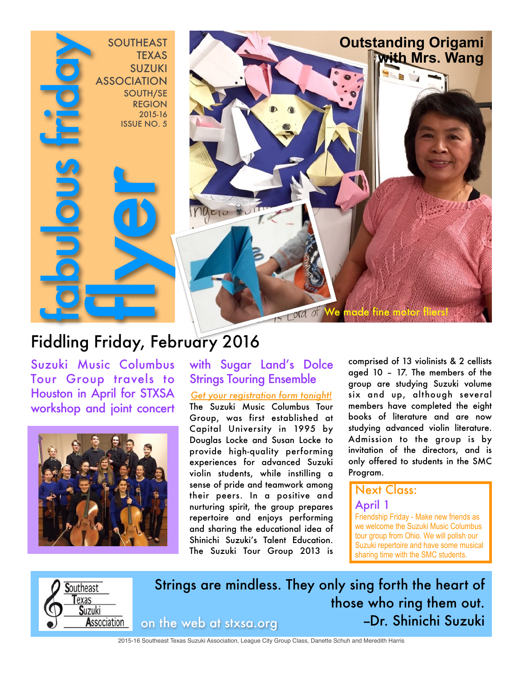

# Fiddling Friday, February 2016

Suzuki Music Columbus Tour Group travels to Houston in April for STXSA workshop and joint concert



## with Sugar Land's Dolce Strings Touring Ensemble

*Get your registration form tonight!* The Suzuki Music Columbus Tour Group, was first established at Capital University in 1995 by Douglas Locke and Susan Locke to provide high-quality performing experiences for advanced Suzuki violin students, while instilling a sense of pride and teamwork among their peers. In a positive and nurturing spirit, the group prepares repertoire and enjoys performing and sharing the educational idea of Shinichi Suzuki's Talent Education. The Suzuki Tour Group 2013 is comprised of 13 violinists & 2 cellists aged 10 – 17. The members of the group are studying Suzuki volume six and up, although several members have completed the eight books of literature and are now studying advanced violin literature. Admission to the group is by invitation of the directors, and is only offered to students in the SMC Program.

## **Next Class:**

#### April 1

Friendship Friday - Make new friends as we welcome the Suzuki Music Columbus tour group from Ohio. We will polish our Suzuki repertoire and have some musical sharing time with the SMC students.



Strings are mindless. They only sing forth the heart of those who ring them out. on the web at stxsa.org --Dr. Shinichi Suzuki

2015-16 Southeast Texas Suzuki Association, League City Group Class, Danette Schuh and Meredith Harris